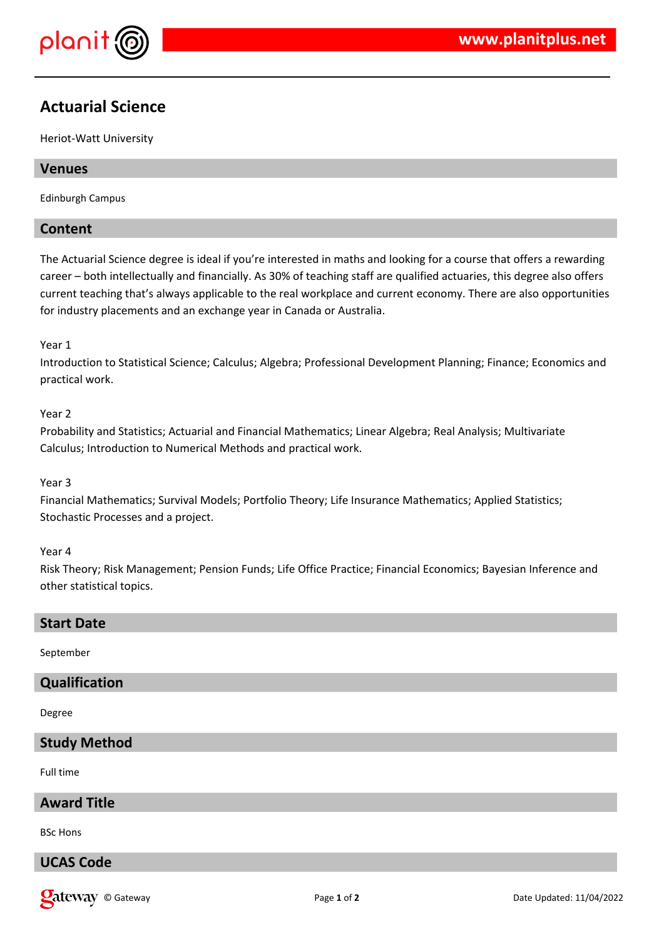

# **Actuarial Science**

Heriot-Watt University

## **Venues**

Edinburgh Campus

# **Content**

The Actuarial Science degree is ideal if you're interested in maths and looking for a course that offers a rewarding career – both intellectually and financially. As 30% of teaching staff are qualified actuaries, this degree also offers current teaching that's always applicable to the real workplace and current economy. There are also opportunities for industry placements and an exchange year in Canada or Australia.

### Year 1

Introduction to Statistical Science; Calculus; Algebra; Professional Development Planning; Finance; Economics and practical work.

### Year 2

Probability and Statistics; Actuarial and Financial Mathematics; Linear Algebra; Real Analysis; Multivariate Calculus; Introduction to Numerical Methods and practical work.

### Year 3

Financial Mathematics; Survival Models; Portfolio Theory; Life Insurance Mathematics; Applied Statistics; Stochastic Processes and a project.

### Year 4

Risk Theory; Risk Management; Pension Funds; Life Office Practice; Financial Economics; Bayesian Inference and other statistical topics.

### **Start Date**

September

# **Qualification**

### Degree

### **Study Method**

Full time

## **Award Title**

BSc Hons

# **UCAS Code**